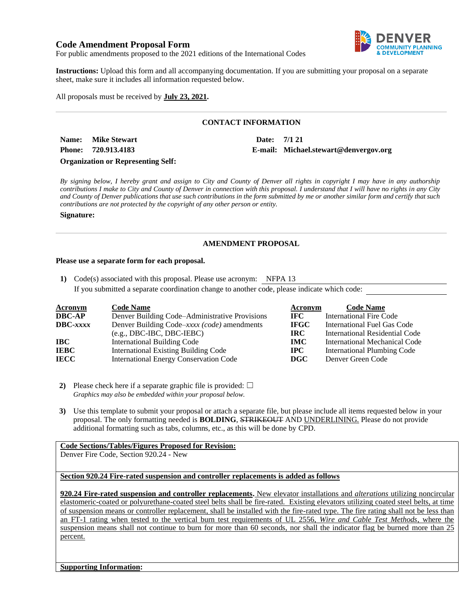# **Code Amendment Proposal Form**



For public amendments proposed to the 2021 editions of the International Codes

**Instructions:** Upload this form and all accompanying documentation. If you are submitting your proposal on a separate sheet, make sure it includes all information requested below.

All proposals must be received by **July 23, 2021.**

## **CONTACT INFORMATION**

**Name: Mike Stewart Date: 7/1 21 Phone: 720.913.4183 E-mail: Michael.stewart@denvergov.org Organization or Representing Self:**

*By signing below, I hereby grant and assign to City and County of Denver all rights in copyright I may have in any authorship contributions I make to City and County of Denver in connection with this proposal. I understand that I will have no rights in any City and County of Denver publications that use such contributions in the form submitted by me or another similar form and certify that such* 

*contributions are not protected by the copyright of any other person or entity.* 

**Signature:**

## **AMENDMENT PROPOSAL**

### **Please use a separate form for each proposal.**

**1)** Code(s) associated with this proposal. Please use acronym: NFPA 13

If you submitted a separate coordination change to another code, please indicate which code:

| <b>Acronym</b>    | <b>Code Name</b>                               | Acronym     | <b>Code Name</b>               |
|-------------------|------------------------------------------------|-------------|--------------------------------|
| <b>DBC-AP</b>     | Denver Building Code–Administrative Provisions | IFC.        | <b>International Fire Code</b> |
| $\text{DBC}-xxxx$ | Denver Building Code–xxxx (code) amendments    | <b>IFGC</b> | International Fuel Gas Code    |
|                   | $(e.g., DBC-IBC, DBC-IEBC)$                    | <b>IRC</b>  | International Residential Code |
| IBC               | <b>International Building Code</b>             | <b>IMC</b>  | International Mechanical Code  |
| <b>IEBC</b>       | <b>International Existing Building Code</b>    | $\bf IPC$   | International Plumbing Code    |
| <b>IECC</b>       | <b>International Energy Conservation Code</b>  | <b>DGC</b>  | Denver Green Code              |

**2)** Please check here if a separate graphic file is provided:  $\Box$ *Graphics may also be embedded within your proposal below.*

**3)** Use this template to submit your proposal or attach a separate file, but please include all items requested below in your proposal. The only formatting needed is **BOLDING**, STRIKEOUT AND UNDERLINING. Please do not provide additional formatting such as tabs, columns, etc., as this will be done by CPD.

# **Code Sections/Tables/Figures Proposed for Revision:**

Denver Fire Code, Section 920.24 - New

**Section 920.24 Fire-rated suspension and controller replacements is added as follows**

**920.24 Fire-rated suspension and controller replacements.** New elevator installations and *alterations* utilizing noncircular elastomeric-coated or polyurethane-coated steel belts shall be fire-rated. Existing elevators utilizing coated steel belts, at time of suspension means or controller replacement, shall be installed with the fire-rated type. The fire rating shall not be less than an FT-1 rating when tested to the vertical burn test requirements of UL 2556, *Wire and Cable Test Methods*, where the suspension means shall not continue to burn for more than 60 seconds, nor shall the indicator flag be burned more than 25 percent.

**Supporting Information:**